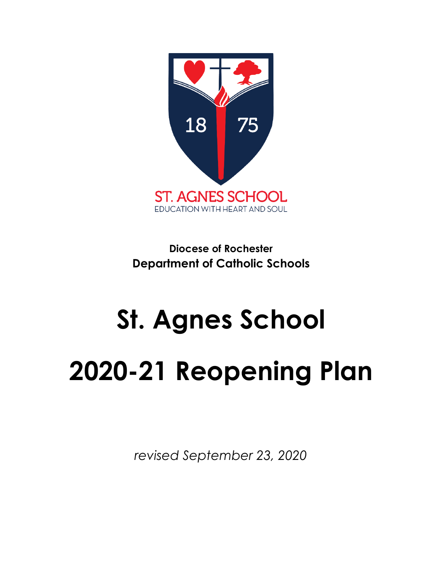

**Diocese of Rochester Department of Catholic Schools**

# **St. Agnes School 2020-21 Reopening Plan**

*revised September 23, 2020*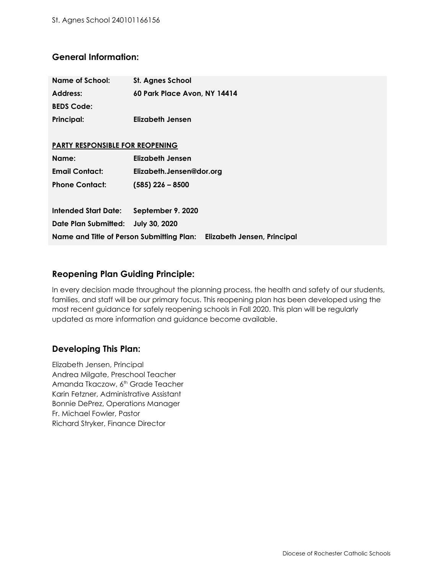## **General Information:**

| Name of School:                                                       | St. Agnes School             |
|-----------------------------------------------------------------------|------------------------------|
| Address:                                                              | 60 Park Place Avon, NY 14414 |
| <b>BEDS Code:</b>                                                     |                              |
| <b>Principal:</b>                                                     | Elizabeth Jensen             |
|                                                                       |                              |
| <b>PARTY RESPONSIBLE FOR REOPENING</b>                                |                              |
| Name:                                                                 | <b>Elizabeth Jensen</b>      |
| <b>Email Contact:</b>                                                 | Elizabeth.Jensen@dor.org     |
| <b>Phone Contact:</b>                                                 | $(585)$ 226 - 8500           |
|                                                                       |                              |
| <b>Intended Start Date:</b>                                           | September 9. 2020            |
| Date Plan Submitted:                                                  | <b>July 30, 2020</b>         |
| Name and Title of Person Submitting Plan: Elizabeth Jensen, Principal |                              |

## **Reopening Plan Guiding Principle:**

In every decision made throughout the planning process, the health and safety of our students, families, and staff will be our primary focus. This reopening plan has been developed using the most recent guidance for safely reopening schools in Fall 2020. This plan will be regularly updated as more information and guidance become available.

## **Developing This Plan:**

Elizabeth Jensen, Principal Andrea Milgate, Preschool Teacher Amanda Tkaczow, 6<sup>th</sup> Grade Teacher Karin Fetzner, Administrative Assistant Bonnie DePrez, Operations Manager Fr. Michael Fowler, Pastor Richard Stryker, Finance Director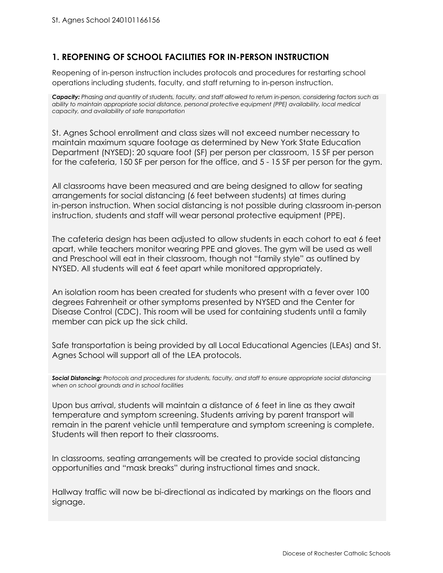## **1. REOPENING OF SCHOOL FACILITIES FOR IN-PERSON INSTRUCTION**

Reopening of in-person instruction includes protocols and procedures for restarting school operations including students, faculty, and staff returning to in-person instruction.

Capacity: Phasing and quantity of students, faculty, and staff allowed to return in-person, considering factors such as *ability to maintain appropriate social distance, personal protective equipment (PPE) availability, local medical capacity, and availability of safe transportation*

St. Agnes School enrollment and class sizes will not exceed number necessary to maintain maximum square footage as determined by New York State Education Department (NYSED): 20 square foot (SF) per person per classroom, 15 SF per person for the cafeteria, 150 SF per person for the office, and 5 - 15 SF per person for the gym.

All classrooms have been measured and are being designed to allow for seating arrangements for social distancing (6 feet between students) at times during in-person instruction. When social distancing is not possible during classroom in-person instruction, students and staff will wear personal protective equipment (PPE).

The cafeteria design has been adjusted to allow students in each cohort to eat 6 feet apart, while teachers monitor wearing PPE and gloves. The gym will be used as well and Preschool will eat in their classroom, though not "family style" as outlined by NYSED. All students will eat 6 feet apart while monitored appropriately.

An isolation room has been created for students who present with a fever over 100 degrees Fahrenheit or other symptoms presented by NYSED and the Center for Disease Control (CDC). This room will be used for containing students until a family member can pick up the sick child.

Safe transportation is being provided by all Local Educational Agencies (LEAs) and St. Agnes School will support all of the LEA protocols.

*Social Distancing: Protocols and procedures for students, faculty, and staff to ensure appropriate social distancing when on school grounds and in school facilities*

Upon bus arrival, students will maintain a distance of 6 feet in line as they await temperature and symptom screening. Students arriving by parent transport will remain in the parent vehicle until temperature and symptom screening is complete. Students will then report to their classrooms.

In classrooms, seating arrangements will be created to provide social distancing opportunities and "mask breaks" during instructional times and snack.

Hallway traffic will now be bi-directional as indicated by markings on the floors and signage.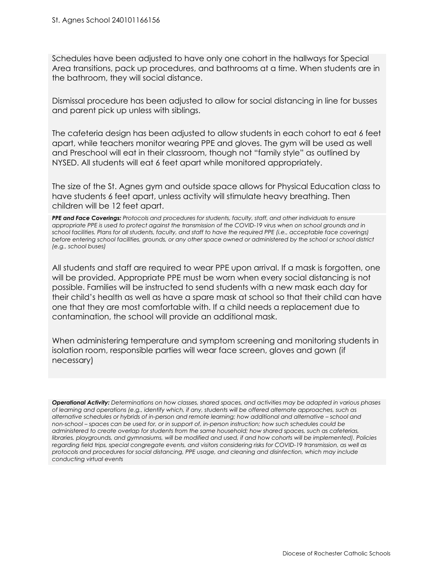Schedules have been adjusted to have only one cohort in the hallways for Special Area transitions, pack up procedures, and bathrooms at a time. When students are in the bathroom, they will social distance.

Dismissal procedure has been adjusted to allow for social distancing in line for busses and parent pick up unless with siblings.

The cafeteria design has been adjusted to allow students in each cohort to eat 6 feet apart, while teachers monitor wearing PPE and gloves. The gym will be used as well and Preschool will eat in their classroom, though not "family style" as outlined by NYSED. All students will eat 6 feet apart while monitored appropriately.

The size of the St. Agnes gym and outside space allows for Physical Education class to have students 6 feet apart, unless activity will stimulate heavy breathing. Then children will be 12 feet apart.

*PPE and Face Coverings: Protocols and procedures for students, faculty, staff, and other individuals to ensure* appropriate PPE is used to protect against the transmission of the COVID-19 virus when on school grounds and in school facilities. Plans for all students, faculty, and staff to have the required PPE (i.e., acceptable face coverings) before entering school facilities, grounds, or any other space owned or administered by the school or school district *(e.g., school buses)*

All students and staff are required to wear PPE upon arrival. If a mask is forgotten, one will be provided. Appropriate PPE must be worn when every social distancing is not possible. Families will be instructed to send students with a new mask each day for their child's health as well as have a spare mask at school so that their child can have one that they are most comfortable with. If a child needs a replacement due to contamination, the school will provide an additional mask.

When administering temperature and symptom screening and monitoring students in isolation room, responsible parties will wear face screen, gloves and gown (if necessary)

Operational Activity: Determinations on how classes, shared spaces, and activities may be adapted in various phases of learning and operations (e.g., identify which, if any, students will be offered alternate approaches, such as *alternative schedules or hybrids of in-person and remote learning; how additional and alternative – school and* non-school – spaces can be used for, or in support of, in-person instruction; how such schedules could be *administered to create overlap for students from the same household; how shared spaces, such as cafeterias,* libraries, playgrounds, and gymnasiums, will be modified and used, if and how cohorts will be implemented). Policies regarding field trips, special congregate events, and visitors considering risks for COVID-19 transmission, as well as *protocols and procedures for social distancing, PPE usage, and cleaning and disinfection, which may include conducting virtual events*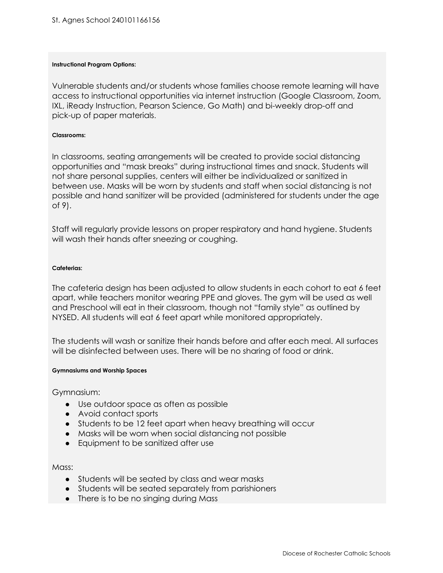#### **Instructional Program Options:**

Vulnerable students and/or students whose families choose remote learning will have access to instructional opportunities via internet instruction (Google Classroom, Zoom, IXL, iReady Instruction, Pearson Science, Go Math) and bi-weekly drop-off and pick-up of paper materials.

#### **Classrooms:**

In classrooms, seating arrangements will be created to provide social distancing opportunities and "mask breaks" during instructional times and snack. Students will not share personal supplies, centers will either be individualized or sanitized in between use. Masks will be worn by students and staff when social distancing is not possible and hand sanitizer will be provided (administered for students under the age of 9).

Staff will regularly provide lessons on proper respiratory and hand hygiene. Students will wash their hands after sneezing or coughing.

#### **Cafeterias:**

The cafeteria design has been adjusted to allow students in each cohort to eat 6 feet apart, while teachers monitor wearing PPE and gloves. The gym will be used as well and Preschool will eat in their classroom, though not "family style" as outlined by NYSED. All students will eat 6 feet apart while monitored appropriately.

The students will wash or sanitize their hands before and after each meal. All surfaces will be disinfected between uses. There will be no sharing of food or drink.

#### **Gymnasiums and Worship Spaces**

Gymnasium:

- Use outdoor space as often as possible
- Avoid contact sports
- Students to be 12 feet apart when heavy breathing will occur
- Masks will be worn when social distancing not possible
- Equipment to be sanitized after use

Mass:

- Students will be seated by class and wear masks
- Students will be seated separately from parishioners
- There is to be no singing during Mass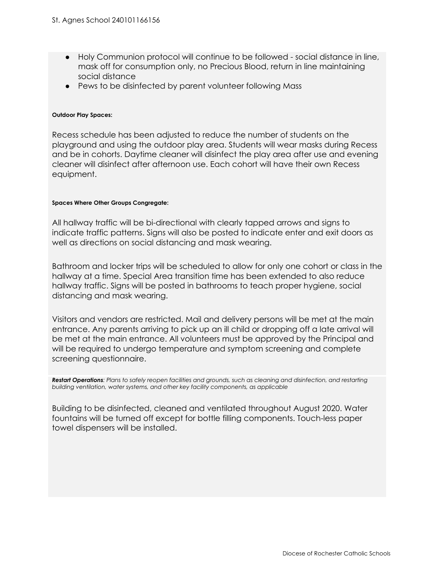- Holy Communion protocol will continue to be followed social distance in line, mask off for consumption only, no Precious Blood, return in line maintaining social distance
- Pews to be disinfected by parent volunteer following Mass

#### **Outdoor Play Spaces:**

Recess schedule has been adjusted to reduce the number of students on the playground and using the outdoor play area. Students will wear masks during Recess and be in cohorts. Daytime cleaner will disinfect the play area after use and evening cleaner will disinfect after afternoon use. Each cohort will have their own Recess equipment.

#### **Spaces Where Other Groups Congregate:**

All hallway traffic will be bi-directional with clearly tapped arrows and signs to indicate traffic patterns. Signs will also be posted to indicate enter and exit doors as well as directions on social distancing and mask wearing.

Bathroom and locker trips will be scheduled to allow for only one cohort or class in the hallway at a time. Special Area transition time has been extended to also reduce hallway traffic. Signs will be posted in bathrooms to teach proper hygiene, social distancing and mask wearing.

Visitors and vendors are restricted. Mail and delivery persons will be met at the main entrance. Any parents arriving to pick up an ill child or dropping off a late arrival will be met at the main entrance. All volunteers must be approved by the Principal and will be required to undergo temperature and symptom screening and complete screening questionnaire.

Restart Operations: Plans to safely reopen facilities and grounds, such as cleaning and disinfection, and restarting *building ventilation, water systems, and other key facility components, as applicable*

Building to be disinfected, cleaned and ventilated throughout August 2020. Water fountains will be turned off except for bottle filling components. Touch-less paper towel dispensers will be installed.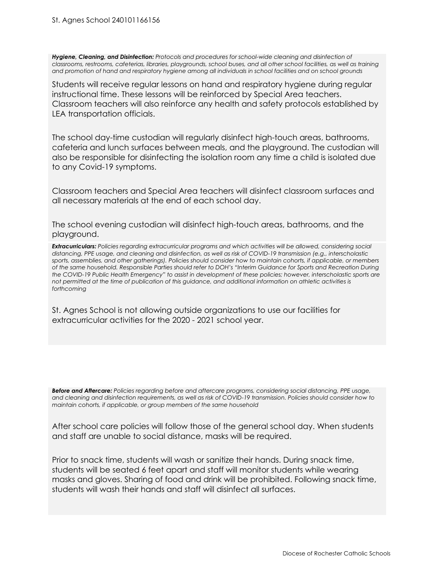*Hygiene, Cleaning, and Disinfection: Protocols and procedures for school-wide cleaning and disinfection of* classrooms, restrooms, cafeterias, libraries, playgrounds, school buses, and all other school facilities, as well as training and promotion of hand and respiratory hygiene among all individuals in school facilities and on school grounds

Students will receive regular lessons on hand and respiratory hygiene during regular instructional time. These lessons will be reinforced by Special Area teachers. Classroom teachers will also reinforce any health and safety protocols established by LEA transportation officials.

The school day-time custodian will regularly disinfect high-touch areas, bathrooms, cafeteria and lunch surfaces between meals, and the playground. The custodian will also be responsible for disinfecting the isolation room any time a child is isolated due to any Covid-19 symptoms.

Classroom teachers and Special Area teachers will disinfect classroom surfaces and all necessary materials at the end of each school day.

The school evening custodian will disinfect high-touch areas, bathrooms, and the playground.

*Extracurriculars: Policies regarding extracurricular programs and which activities will be allowed, considering social* distancing, PPE usage, and cleaning and disinfection, as well as risk of COVID-19 transmission (e.g., interscholastic sports, assemblies, and other gatherings). Policies should consider how to maintain cohorts, if applicable, or members of the same household. Responsible Parties should refer to DOH's "Interim Guidance for Sports and Recreation During the COVID-19 Public Health Emergency" to assist in development of these policies; however, interscholastic sports are not permitted at the time of publication of this guidance, and additional information on athletic activities is *forthcoming*

St. Agnes School is not allowing outside organizations to use our facilities for extracurricular activities for the 2020 - 2021 school year.

*Before and Aftercare: Policies regarding before and aftercare programs, considering social distancing, PPE usage,* and cleaning and disinfection requirements, as well as risk of COVID-19 transmission. Policies should consider how to *maintain cohorts, if applicable, or group members of the same household*

After school care policies will follow those of the general school day. When students and staff are unable to social distance, masks will be required.

Prior to snack time, students will wash or sanitize their hands. During snack time, students will be seated 6 feet apart and staff will monitor students while wearing masks and gloves. Sharing of food and drink will be prohibited. Following snack time, students will wash their hands and staff will disinfect all surfaces.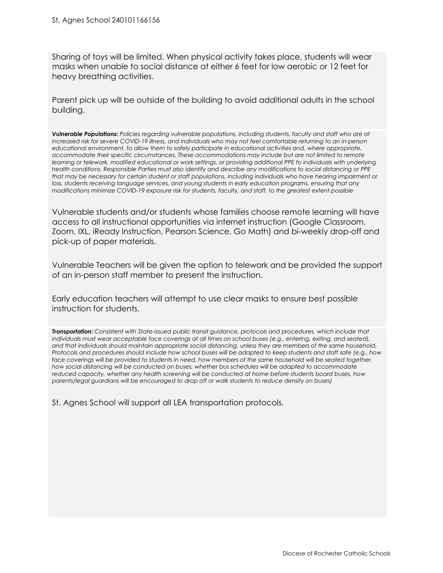Sharing of toys will be limited. When physical activity takes place, students will wear masks when unable to social distance at either 6 feet for low aerobic or 12 feet for heavy breathing activities.

Parent pick up will be outside of the building to avoid additional adults in the school building.

*Vulnerable Populations: Policies regarding vulnerable populations, including students, faculty and staff who are at* increased risk for severe COVID-19 illness, and individuals who may not feel comfortable returning to an in-person *educational environment, to allow them to safely participate in educational activities and, where appropriate, accommodate their specific circumstances. These accommodations may include but are not limited to remote* learning or telework, modified educational or work settings, or providing additional PPE to individuals with underlying health conditions. Responsible Parties must also identify and describe any modifications to social distancing or PPE that may be necessary for certain student or staff populations, including individuals who have hearing impairment or *loss, students receiving language services, and young students in early education programs, ensuring that any modifications minimize COVID-19 exposure risk for students, faculty, and staff, to the greatest extent possible*

Vulnerable students and/or students whose families choose remote learning will have access to all instructional opportunities via internet instruction (Google Classroom, Zoom, IXL, iReady Instruction, Pearson Science, Go Math) and bi-weekly drop-off and pick-up of paper materials.

Vulnerable Teachers will be given the option to telework and be provided the support of an in-person staff member to present the instruction.

Early education teachers will attempt to use clear masks to ensure best possible instruction for students.

*Transportation: Consistent with State-issued public transit guidance, protocols and procedures, which include that* individuals must wear acceptable face coverings at all times on school buses (e.g., entering, exiting, and seated), and that individuals should maintain appropriate social distancing, unless they are members of the same household. Protocols and procedures should include how school buses will be adapted to keep students and staff safe (e.g., how face coverings will be provided to students in need, how members of the same household will be seated together, *how social distancing will be conducted on buses, whether bus schedules will be adapted to accommodate reduced capacity, whether any health screening will be conducted at home before students board buses, how parents/legal guardians will be encouraged to drop off or walk students to reduce density on buses)*

St. Agnes School will support all LEA transportation protocols.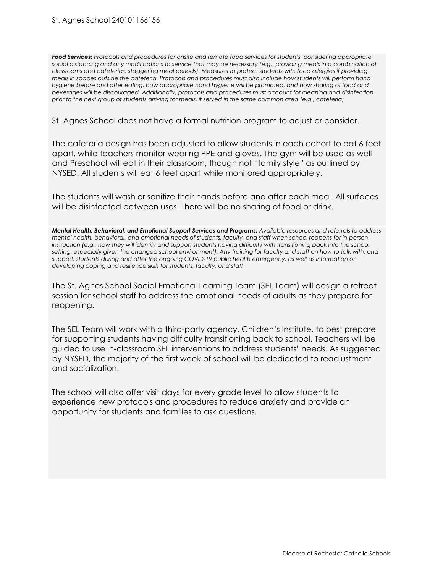*Food Services: Protocols and procedures for onsite and remote food services for students, considering appropriate* social distancing and any modifications to service that may be necessary (e.g., providing meals in a combination of *classrooms and cafeterias, staggering meal periods). Measures to protect students with food allergies if providing* meals in spaces outside the cafeteria. Protocols and procedures must also include how students will perform hand hygiene before and after eating, how appropriate hand hygiene will be promoted, and how sharing of food and *beverages will be discouraged. Additionally, protocols and procedures must account for cleaning and disinfection* prior to the next group of students arriving for meals, if served in the same common area (e.g., cafeteria)

St. Agnes School does not have a formal nutrition program to adjust or consider.

The cafeteria design has been adjusted to allow students in each cohort to eat 6 feet apart, while teachers monitor wearing PPE and gloves. The gym will be used as well and Preschool will eat in their classroom, though not "family style" as outlined by NYSED. All students will eat 6 feet apart while monitored appropriately.

The students will wash or sanitize their hands before and after each meal. All surfaces will be disinfected between uses. There will be no sharing of food or drink.

*Mental Health, Behavioral, and Emotional Support Services and Programs: Available resources and referrals to address mental health, behavioral, and emotional needs of students, faculty, and staff when school reopens for in-person* instruction (e.g., how they will identify and support students having difficulty with transitioning back into the school setting, especially given the changed school environment). Any training for faculty and staff on how to talk with, and *support, students during and after the ongoing COVID-19 public health emergency, as well as information on developing coping and resilience skills for students, faculty, and staff*

The St. Agnes School Social Emotional Learning Team (SEL Team) will design a retreat session for school staff to address the emotional needs of adults as they prepare for reopening.

The SEL Team will work with a third-party agency, Children's Institute, to best prepare for supporting students having difficulty transitioning back to school. Teachers will be guided to use in-classroom SEL interventions to address students' needs. As suggested by NYSED, the majority of the first week of school will be dedicated to readjustment and socialization.

The school will also offer visit days for every grade level to allow students to experience new protocols and procedures to reduce anxiety and provide an opportunity for students and families to ask questions.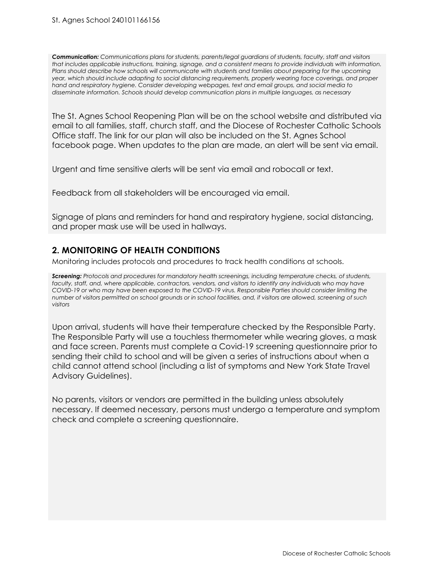*Communication: Communications plans for students, parents/legal guardians of students, faculty, staff and visitors* that includes applicable instructions, training, signage, and a consistent means to provide individuals with information. *Plans should describe how schools will communicate with students and families about preparing for the upcoming year, which should include adapting to social distancing requirements, properly wearing face coverings, and proper hand and respiratory hygiene. Consider developing webpages, text and email groups, and social media to disseminate information. Schools should develop communication plans in multiple languages, as necessary*

The St. Agnes School Reopening Plan will be on the school website and distributed via email to all families, staff, church staff, and the Diocese of Rochester Catholic Schools Office staff. The link for our plan will also be included on the St. Agnes School facebook page. When updates to the plan are made, an alert will be sent via email.

Urgent and time sensitive alerts will be sent via email and robocall or text.

Feedback from all stakeholders will be encouraged via email.

Signage of plans and reminders for hand and respiratory hygiene, social distancing, and proper mask use will be used in hallways.

## **2. MONITORING OF HEALTH CONDITIONS**

Monitoring includes protocols and procedures to track health conditions at schools.

*Screening: Protocols and procedures for mandatory health screenings, including temperature checks, of students,* faculty, staff, and, where applicable, contractors, vendors, and visitors to identify any individuals who may have COVID-19 or who may have been exposed to the COVID-19 virus. Responsible Parties should consider limiting the number of visitors permitted on school grounds or in school facilities, and, if visitors are allowed, screening of such *visitors*

Upon arrival, students will have their temperature checked by the Responsible Party. The Responsible Party will use a touchless thermometer while wearing gloves, a mask and face screen. Parents must complete a Covid-19 screening questionnaire prior to sending their child to school and will be given a series of instructions about when a child cannot attend school (including a list of symptoms and New York State Travel Advisory Guidelines).

No parents, visitors or vendors are permitted in the building unless absolutely necessary. If deemed necessary, persons must undergo a temperature and symptom check and complete a screening questionnaire.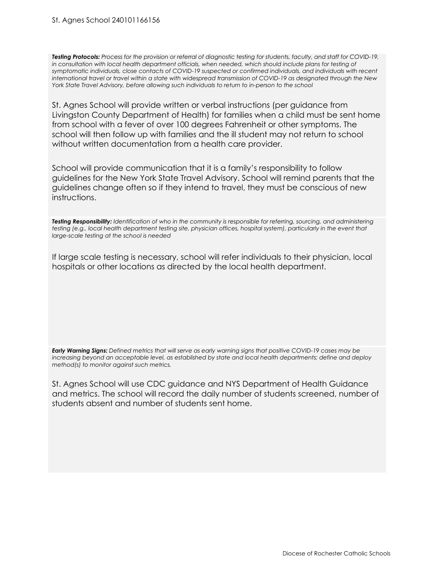Testing Protocols: Process for the provision or referral of diagnostic testing for students, faculty, and staff for COVID-19, *in consultation with local health department officials, when needed, which should include plans for testing of symptomatic individuals, close contacts of COVID-19 suspected or confirmed individuals, and individuals with recent* international travel or travel within a state with widespread transmission of COVID-19 as designated through the New *York State Travel Advisory, before allowing such individuals to return to in-person to the school*

St. Agnes School will provide written or verbal instructions (per guidance from Livingston County Department of Health) for families when a child must be sent home from school with a fever of over 100 degrees Fahrenheit or other symptoms. The school will then follow up with families and the ill student may not return to school without written documentation from a health care provider.

School will provide communication that it is a family's responsibility to follow guidelines for the New York State Travel Advisory. School will remind parents that the guidelines change often so if they intend to travel, they must be conscious of new instructions.

Testing Responsibility: Identification of who in the community is responsible for referring, sourcing, and administering testing (e.g., local health department testing site, physician offices, hospital system), particularly in the event that *large-scale testing at the school is needed*

If large scale testing is necessary, school will refer individuals to their physician, local hospitals or other locations as directed by the local health department.

Early Warning Signs: Defined metrics that will serve as early warning signs that positive COVID-19 cases may be *increasing beyond an acceptable level, as established by state and local health departments; define and deploy method(s) to monitor against such metrics.*

St. Agnes School will use CDC guidance and NYS Department of Health Guidance and metrics. The school will record the daily number of students screened, number of students absent and number of students sent home.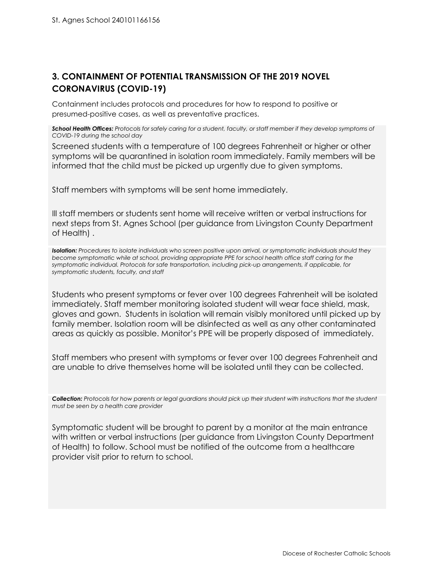# **3. CONTAINMENT OF POTENTIAL TRANSMISSION OF THE 2019 NOVEL CORONAVIRUS (COVID-19)**

Containment includes protocols and procedures for how to respond to positive or presumed-positive cases, as well as preventative practices.

School Health Offices: Protocols for safely caring for a student, faculty, or staff member if they develop symptoms of *COVID-19 during the school day*

Screened students with a temperature of 100 degrees Fahrenheit or higher or other symptoms will be quarantined in isolation room immediately. Family members will be informed that the child must be picked up urgently due to given symptoms.

Staff members with symptoms will be sent home immediately.

Ill staff members or students sent home will receive written or verbal instructions for next steps from St. Agnes School (per guidance from Livingston County Department of Health) .

*Isolation: Procedures to isolate individuals who screen positive upon arrival, or symptomatic individuals should they become symptomatic while at school, providing appropriate PPE for school health office staff caring for the symptomatic individual. Protocols for safe transportation, including pick-up arrangements, if applicable, for symptomatic students, faculty, and staff*

Students who present symptoms or fever over 100 degrees Fahrenheit will be isolated immediately. Staff member monitoring isolated student will wear face shield, mask, gloves and gown. Students in isolation will remain visibly monitored until picked up by family member. Isolation room will be disinfected as well as any other contaminated areas as quickly as possible. Monitor's PPE will be properly disposed of immediately.

Staff members who present with symptoms or fever over 100 degrees Fahrenheit and are unable to drive themselves home will be isolated until they can be collected.

Collection: Protocols for how parents or legal guardians should pick up their student with instructions that the student *must be seen by a health care provider*

Symptomatic student will be brought to parent by a monitor at the main entrance with written or verbal instructions (per guidance from Livingston County Department of Health) to follow. School must be notified of the outcome from a healthcare provider visit prior to return to school.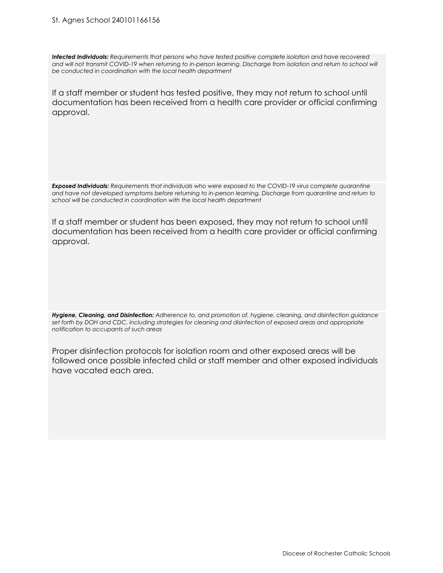#### St. Agnes School 240101166156

*Infected Individuals: Requirements that persons who have tested positive complete isolation and have recovered* and will not transmit COVID-19 when returning to in-person learning. Discharge from isolation and return to school will *be conducted in coordination with the local health department*

If a staff member or student has tested positive, they may not return to school until documentation has been received from a health care provider or official confirming approval.

*Exposed Individuals: Requirements that individuals who were exposed to the COVID-19 virus complete quarantine and have not developed symptoms before returning to in-person learning. Discharge from quarantine and return to school will be conducted in coordination with the local health department*

If a staff member or student has been exposed, they may not return to school until documentation has been received from a health care provider or official confirming approval.

*Hygiene, Cleaning, and Disinfection: Adherence to, and promotion of, hygiene, cleaning, and disinfection guidance* set forth by DOH and CDC, including strategies for cleaning and disinfection of exposed areas and appropriate *notification to occupants of such areas*

Proper disinfection protocols for isolation room and other exposed areas will be followed once possible infected child or staff member and other exposed individuals have vacated each area.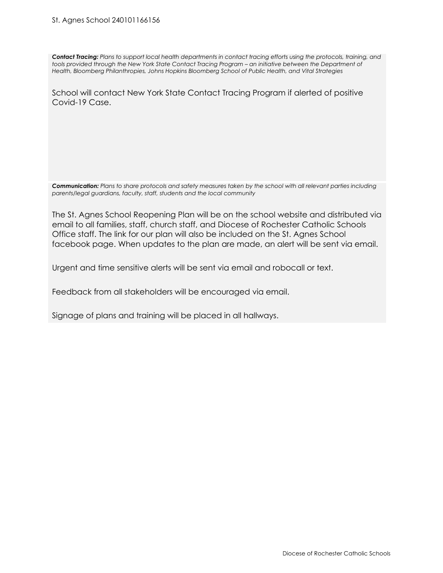Contact Tracing: Plans to support local health departments in contact tracing efforts using the protocols, training, and tools provided through the New York State Contact Tracing Program - an initiative between the Department of *Health, Bloomberg Philanthropies, Johns Hopkins Bloomberg School of Public Health, and Vital Strategies*

School will contact New York State Contact Tracing Program if alerted of positive Covid-19 Case.

Communication: Plans to share protocols and safety measures taken by the school with all relevant parties including *parents/legal guardians, faculty, staff, students and the local community*

The St. Agnes School Reopening Plan will be on the school website and distributed via email to all families, staff, church staff, and Diocese of Rochester Catholic Schools Office staff. The link for our plan will also be included on the St. Agnes School facebook page. When updates to the plan are made, an alert will be sent via email.

Urgent and time sensitive alerts will be sent via email and robocall or text.

Feedback from all stakeholders will be encouraged via email.

Signage of plans and training will be placed in all hallways.